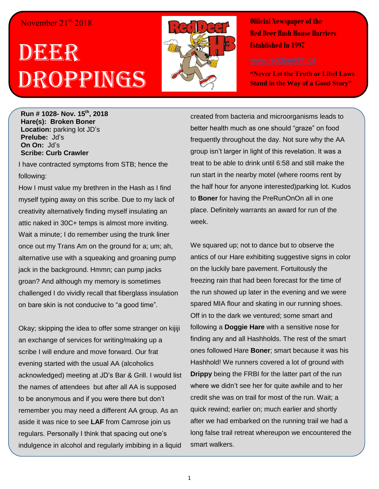## November 21<sup>st,</sup> 2018

## DEER Droppings



**Official Newspaper of the Red Deer Hash House Harriers Established In 1997** 

**"Never Let the Truth or Libel Laws Stand in the Way of a Good Story"**

**Run # 1028- Nov. 15th , 2018 Hare(s): Broken Boner Location:** parking lot JD's **Prelube:** Jd's **On On:** Jd's **Scribe: Curb Crawler**

I have contracted symptoms from STB; hence the following:

How I must value my brethren in the Hash as I find myself typing away on this scribe. Due to my lack of creativity alternatively finding myself insulating an attic naked in 30C+ temps is almost more inviting. Wait a minute; I do remember using the trunk liner once out my Trans Am on the ground for a; um; ah, alternative use with a squeaking and groaning pump jack in the background. Hmmn; can pump jacks groan? And although my memory is sometimes challenged I do vividly recall that fiberglass insulation on bare skin is not conducive to "a good time".

Okay; skipping the idea to offer some stranger on kijiji an exchange of services for writing/making up a scribe I will endure and move forward. Our frat evening started with the usual AA (alcoholics acknowledged) meeting at JD's Bar & Grill. I would list the names of attendees but after all AA is supposed to be anonymous and if you were there but don't remember you may need a different AA group. As an aside it was nice to see **LAF** from Camrose join us regulars. Personally I think that spacing out one's indulgence in alcohol and regularly imbibing in a liquid

created from bacteria and microorganisms leads to better health much as one should "graze" on food frequently throughout the day. Not sure why the AA group isn't larger in light of this revelation. It was a treat to be able to drink until 6:58 and still make the run start in the nearby motel (where rooms rent by the half hour for anyone interested)parking lot. Kudos to **Boner** for having the PreRunOnOn all in one place. Definitely warrants an award for run of the week.

We squared up; not to dance but to observe the antics of our Hare exhibiting suggestive signs in color on the luckily bare pavement. Fortuitously the freezing rain that had been forecast for the time of the run showed up later in the evening and we were spared MIA flour and skating in our running shoes. Off in to the dark we ventured; some smart and following a **Doggie Hare** with a sensitive nose for finding any and all Hashholds. The rest of the smart ones followed Hare **Boner**; smart because it was his Hashhold! We runners covered a lot of ground with **Drippy** being the FRBI for the latter part of the run where we didn't see her for quite awhile and to her credit she was on trail for most of the run. Wait; a quick rewind; earlier on; much earlier and shortly after we had embarked on the running trail we had a long false trail retreat whereupon we encountered the smart walkers.